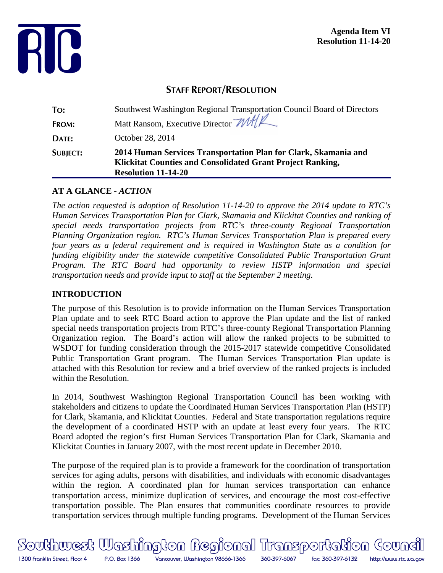

# **STAFF REPORT/RESOLUTION**

| To:             | Southwest Washington Regional Transportation Council Board of Directors                                                                                     |
|-----------------|-------------------------------------------------------------------------------------------------------------------------------------------------------------|
| FROM:           | Matt Ransom, Executive Director MAY                                                                                                                         |
| DATE:           | October 28, 2014                                                                                                                                            |
| <b>SUBJECT:</b> | 2014 Human Services Transportation Plan for Clark, Skamania and<br>Klickitat Counties and Consolidated Grant Project Ranking,<br><b>Resolution 11-14-20</b> |

### **AT A GLANCE -** *ACTION*

*The action requested is adoption of Resolution 11-14-20 to approve the 2014 update to RTC's Human Services Transportation Plan for Clark, Skamania and Klickitat Counties and ranking of special needs transportation projects from RTC's three-county Regional Transportation Planning Organization region. RTC's Human Services Transportation Plan is prepared every four years as a federal requirement and is required in Washington State as a condition for funding eligibility under the statewide competitive Consolidated Public Transportation Grant Program. The RTC Board had opportunity to review HSTP information and special transportation needs and provide input to staff at the September 2 meeting.*

### **INTRODUCTION**

The purpose of this Resolution is to provide information on the Human Services Transportation Plan update and to seek RTC Board action to approve the Plan update and the list of ranked special needs transportation projects from RTC's three-county Regional Transportation Planning Organization region. The Board's action will allow the ranked projects to be submitted to WSDOT for funding consideration through the 2015-2017 statewide competitive Consolidated Public Transportation Grant program. The Human Services Transportation Plan update is attached with this Resolution for review and a brief overview of the ranked projects is included within the Resolution.

In 2014, Southwest Washington Regional Transportation Council has been working with stakeholders and citizens to update the Coordinated Human Services Transportation Plan (HSTP) for Clark, Skamania, and Klickitat Counties. Federal and State transportation regulations require the development of a coordinated HSTP with an update at least every four years. The RTC Board adopted the region's first Human Services Transportation Plan for Clark, Skamania and Klickitat Counties in January 2007, with the most recent update in December 2010.

The purpose of the required plan is to provide a framework for the coordination of transportation services for aging adults, persons with disabilities, and individuals with economic disadvantages within the region. A coordinated plan for human services transportation can enhance transportation access, minimize duplication of services, and encourage the most cost-effective transportation possible. The Plan ensures that communities coordinate resources to provide transportation services through multiple funding programs. Development of the Human Services

Southwest Washington Regional Transportation Goundi 1300 Franklin Street, Floor 4 P.O. Box 1366 Vancouver, Washington 98666-1366 360-397-6067 fax: 360-397-6132 http://www.rtc.wa.gov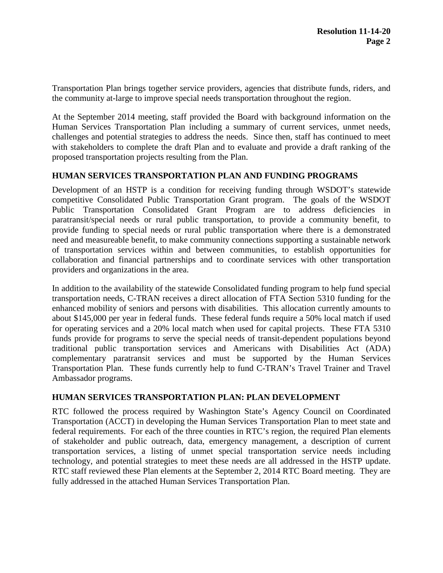Transportation Plan brings together service providers, agencies that distribute funds, riders, and the community at-large to improve special needs transportation throughout the region.

At the September 2014 meeting, staff provided the Board with background information on the Human Services Transportation Plan including a summary of current services, unmet needs, challenges and potential strategies to address the needs. Since then, staff has continued to meet with stakeholders to complete the draft Plan and to evaluate and provide a draft ranking of the proposed transportation projects resulting from the Plan.

#### **HUMAN SERVICES TRANSPORTATION PLAN AND FUNDING PROGRAMS**

Development of an HSTP is a condition for receiving funding through WSDOT's statewide competitive Consolidated Public Transportation Grant program. The goals of the WSDOT Public Transportation Consolidated Grant Program are to address deficiencies in paratransit/special needs or rural public transportation, to provide a community benefit, to provide funding to special needs or rural public transportation where there is a demonstrated need and measureable benefit, to make community connections supporting a sustainable network of transportation services within and between communities, to establish opportunities for collaboration and financial partnerships and to coordinate services with other transportation providers and organizations in the area.

In addition to the availability of the statewide Consolidated funding program to help fund special transportation needs, C-TRAN receives a direct allocation of FTA Section 5310 funding for the enhanced mobility of seniors and persons with disabilities. This allocation currently amounts to about \$145,000 per year in federal funds. These federal funds require a 50% local match if used for operating services and a 20% local match when used for capital projects. These FTA 5310 funds provide for programs to serve the special needs of transit-dependent populations beyond traditional public transportation services and Americans with Disabilities Act (ADA) complementary paratransit services and must be supported by the Human Services Transportation Plan. These funds currently help to fund C-TRAN's Travel Trainer and Travel Ambassador programs.

#### **HUMAN SERVICES TRANSPORTATION PLAN: PLAN DEVELOPMENT**

RTC followed the process required by Washington State's Agency Council on Coordinated Transportation (ACCT) in developing the Human Services Transportation Plan to meet state and federal requirements. For each of the three counties in RTC's region, the required Plan elements of stakeholder and public outreach, data, emergency management, a description of current transportation services, a listing of unmet special transportation service needs including technology, and potential strategies to meet these needs are all addressed in the HSTP update. RTC staff reviewed these Plan elements at the September 2, 2014 RTC Board meeting. They are fully addressed in the attached Human Services Transportation Plan.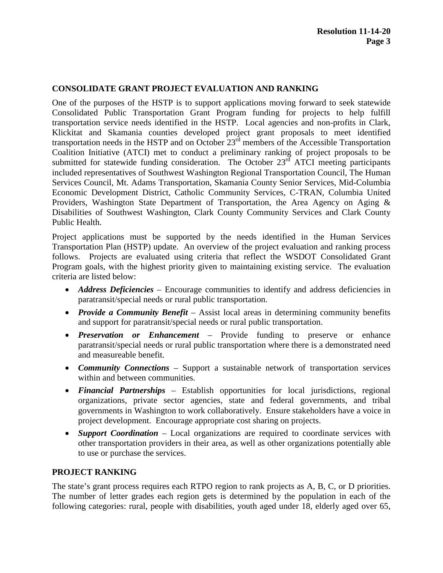### **CONSOLIDATE GRANT PROJECT EVALUATION AND RANKING**

One of the purposes of the HSTP is to support applications moving forward to seek statewide Consolidated Public Transportation Grant Program funding for projects to help fulfill transportation service needs identified in the HSTP. Local agencies and non-profits in Clark, Klickitat and Skamania counties developed project grant proposals to meet identified transportation needs in the HSTP and on October  $23<sup>rd</sup>$  members of the Accessible Transportation Coalition Initiative (ATCI) met to conduct a preliminary ranking of project proposals to be submitted for statewide funding consideration. The October  $23<sup>rd</sup>$  ATCI meeting participants included representatives of Southwest Washington Regional Transportation Council, The Human Services Council, Mt. Adams Transportation, Skamania County Senior Services, Mid-Columbia Economic Development District, Catholic Community Services, C-TRAN, Columbia United Providers, Washington State Department of Transportation, the Area Agency on Aging & Disabilities of Southwest Washington, Clark County Community Services and Clark County Public Health.

Project applications must be supported by the needs identified in the Human Services Transportation Plan (HSTP) update. An overview of the project evaluation and ranking process follows. Projects are evaluated using criteria that reflect the WSDOT Consolidated Grant Program goals, with the highest priority given to maintaining existing service. The evaluation criteria are listed below:

- *Address Deficiencies* Encourage communities to identify and address deficiencies in paratransit/special needs or rural public transportation.
- *Provide a Community Benefit* Assist local areas in determining community benefits and support for paratransit/special needs or rural public transportation.
- *Preservation or Enhancement* Provide funding to preserve or enhance paratransit/special needs or rural public transportation where there is a demonstrated need and measureable benefit.
- *Community Connections* Support a sustainable network of transportation services within and between communities.
- *Financial Partnerships* Establish opportunities for local jurisdictions, regional organizations, private sector agencies, state and federal governments, and tribal governments in Washington to work collaboratively. Ensure stakeholders have a voice in project development. Encourage appropriate cost sharing on projects.
- *Support Coordination* Local organizations are required to coordinate services with other transportation providers in their area, as well as other organizations potentially able to use or purchase the services.

### **PROJECT RANKING**

The state's grant process requires each RTPO region to rank projects as A, B, C, or D priorities. The number of letter grades each region gets is determined by the population in each of the following categories: rural, people with disabilities, youth aged under 18, elderly aged over 65,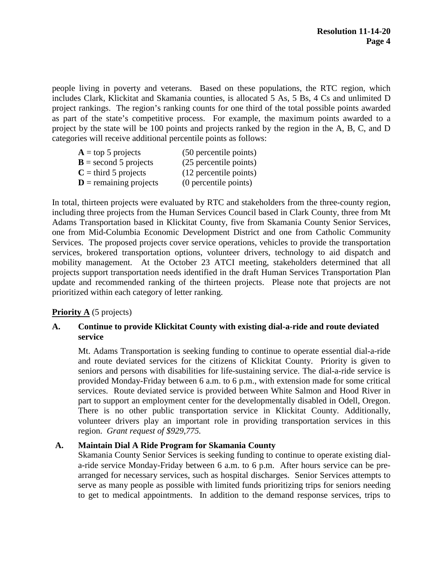people living in poverty and veterans. Based on these populations, the RTC region, which includes Clark, Klickitat and Skamania counties, is allocated 5 As, 5 Bs, 4 Cs and unlimited D project rankings. The region's ranking counts for one third of the total possible points awarded as part of the state's competitive process. For example, the maximum points awarded to a project by the state will be 100 points and projects ranked by the region in the A, B, C, and D categories will receive additional percentile points as follows:

| $A = top 5$ projects              | (50 percentile points) |
|-----------------------------------|------------------------|
| $\mathbf{B}$ = second 5 projects  | (25 percentile points) |
| $C =$ third 5 projects            | (12 percentile points) |
| $\mathbf{D}$ = remaining projects | (0 percentile points)  |

In total, thirteen projects were evaluated by RTC and stakeholders from the three-county region, including three projects from the Human Services Council based in Clark County, three from Mt Adams Transportation based in Klickitat County, five from Skamania County Senior Services, one from Mid-Columbia Economic Development District and one from Catholic Community Services. The proposed projects cover service operations, vehicles to provide the transportation services, brokered transportation options, volunteer drivers, technology to aid dispatch and mobility management. At the October 23 ATCI meeting, stakeholders determined that all projects support transportation needs identified in the draft Human Services Transportation Plan update and recommended ranking of the thirteen projects. Please note that projects are not prioritized within each category of letter ranking.

## **Priority A** (5 projects)

### **A. Continue to provide Klickitat County with existing dial-a-ride and route deviated service**

Mt. Adams Transportation is seeking funding to continue to operate essential dial-a-ride and route deviated services for the citizens of Klickitat County. Priority is given to seniors and persons with disabilities for life-sustaining service. The dial-a-ride service is provided Monday-Friday between 6 a.m. to 6 p.m., with extension made for some critical services. Route deviated service is provided between White Salmon and Hood River in part to support an employment center for the developmentally disabled in Odell, Oregon. There is no other public transportation service in Klickitat County. Additionally, volunteer drivers play an important role in providing transportation services in this region. *Grant request of \$929,775.*

### **A. Maintain Dial A Ride Program for Skamania County**

Skamania County Senior Services is seeking funding to continue to operate existing diala-ride service Monday-Friday between 6 a.m. to 6 p.m. After hours service can be prearranged for necessary services, such as hospital discharges. Senior Services attempts to serve as many people as possible with limited funds prioritizing trips for seniors needing to get to medical appointments. In addition to the demand response services, trips to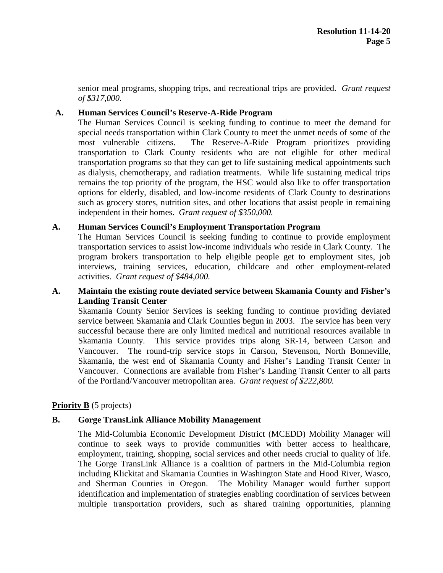senior meal programs, shopping trips, and recreational trips are provided. *Grant request of \$317,000.*

#### **A. Human Services Council's Reserve-A-Ride Program**

The Human Services Council is seeking funding to continue to meet the demand for special needs transportation within Clark County to meet the unmet needs of some of the most vulnerable citizens. The Reserve-A-Ride Program prioritizes providing transportation to Clark County residents who are not eligible for other medical transportation programs so that they can get to life sustaining medical appointments such as dialysis, chemotherapy, and radiation treatments. While life sustaining medical trips remains the top priority of the program, the HSC would also like to offer transportation options for elderly, disabled, and low-income residents of Clark County to destinations such as grocery stores, nutrition sites, and other locations that assist people in remaining independent in their homes. *Grant request of \$350,000.*

#### **A. Human Services Council's Employment Transportation Program**

The Human Services Council is seeking funding to continue to provide employment transportation services to assist low-income individuals who reside in Clark County. The program brokers transportation to help eligible people get to employment sites, job interviews, training services, education, childcare and other employment-related activities. *Grant request of \$484,000.* 

#### **A. Maintain the existing route deviated service between Skamania County and Fisher's Landing Transit Center**

Skamania County Senior Services is seeking funding to continue providing deviated service between Skamania and Clark Counties begun in 2003. The service has been very successful because there are only limited medical and nutritional resources available in Skamania County. This service provides trips along SR-14, between Carson and Vancouver. The round-trip service stops in Carson, Stevenson, North Bonneville, Skamania, the west end of Skamania County and Fisher's Landing Transit Center in Vancouver. Connections are available from Fisher's Landing Transit Center to all parts of the Portland/Vancouver metropolitan area. *Grant request of \$222,800.*

### **Priority B** (5 projects)

#### **B. Gorge TransLink Alliance Mobility Management**

The Mid-Columbia Economic Development District (MCEDD) Mobility Manager will continue to seek ways to provide communities with better access to healthcare, employment, training, shopping, social services and other needs crucial to quality of life. The Gorge TransLink Alliance is a coalition of partners in the Mid-Columbia region including Klickitat and Skamania Counties in Washington State and Hood River, Wasco, and Sherman Counties in Oregon. The Mobility Manager would further support identification and implementation of strategies enabling coordination of services between multiple transportation providers, such as shared training opportunities, planning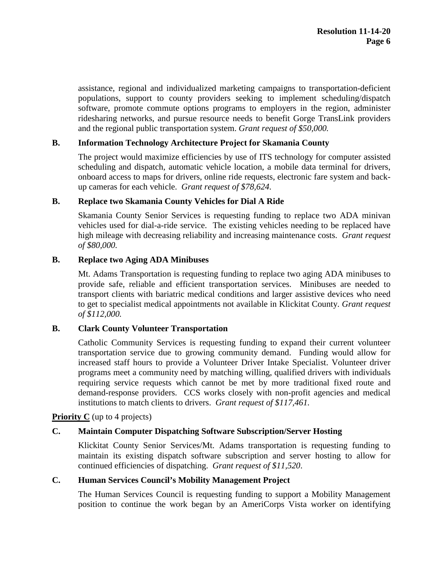assistance, regional and individualized marketing campaigns to transportation-deficient populations, support to county providers seeking to implement scheduling/dispatch software, promote commute options programs to employers in the region, administer ridesharing networks, and pursue resource needs to benefit Gorge TransLink providers and the regional public transportation system. *Grant request of \$50,000.*

### **B. Information Technology Architecture Project for Skamania County**

The project would maximize efficiencies by use of ITS technology for computer assisted scheduling and dispatch, automatic vehicle location, a mobile data terminal for drivers, onboard access to maps for drivers, online ride requests, electronic fare system and backup cameras for each vehicle. *Grant request of \$78,624*.

#### **B. Replace two Skamania County Vehicles for Dial A Ride**

Skamania County Senior Services is requesting funding to replace two ADA minivan vehicles used for dial-a-ride service. The existing vehicles needing to be replaced have high mileage with decreasing reliability and increasing maintenance costs. *Grant request of \$80,000.*

#### **B. Replace two Aging ADA Minibuses**

Mt. Adams Transportation is requesting funding to replace two aging ADA minibuses to provide safe, reliable and efficient transportation services. Minibuses are needed to transport clients with bariatric medical conditions and larger assistive devices who need to get to specialist medical appointments not available in Klickitat County. *Grant request of \$112,000.* 

### **B. Clark County Volunteer Transportation**

Catholic Community Services is requesting funding to expand their current volunteer transportation service due to growing community demand. Funding would allow for increased staff hours to provide a Volunteer Driver Intake Specialist. Volunteer driver programs meet a community need by matching willing, qualified drivers with individuals requiring service requests which cannot be met by more traditional fixed route and demand-response providers. CCS works closely with non-profit agencies and medical institutions to match clients to drivers. *Grant request of \$117,461.*

**Priority C** (up to 4 projects)

### **C. Maintain Computer Dispatching Software Subscription/Server Hosting**

Klickitat County Senior Services/Mt. Adams transportation is requesting funding to maintain its existing dispatch software subscription and server hosting to allow for continued efficiencies of dispatching. *Grant request of \$11,520*.

#### **C. Human Services Council's Mobility Management Project**

The Human Services Council is requesting funding to support a Mobility Management position to continue the work began by an AmeriCorps Vista worker on identifying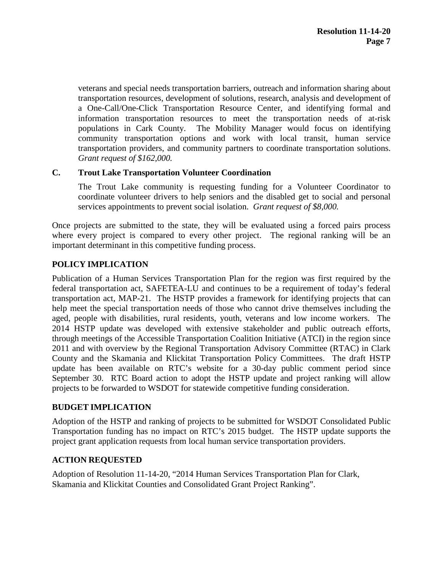veterans and special needs transportation barriers, outreach and information sharing about transportation resources, development of solutions, research, analysis and development of a One-Call/One-Click Transportation Resource Center, and identifying formal and information transportation resources to meet the transportation needs of at-risk populations in Cark County. The Mobility Manager would focus on identifying community transportation options and work with local transit, human service transportation providers, and community partners to coordinate transportation solutions. *Grant request of \$162,000.*

#### **C. Trout Lake Transportation Volunteer Coordination**

The Trout Lake community is requesting funding for a Volunteer Coordinator to coordinate volunteer drivers to help seniors and the disabled get to social and personal services appointments to prevent social isolation. *Grant request of \$8,000.*

Once projects are submitted to the state, they will be evaluated using a forced pairs process where every project is compared to every other project. The regional ranking will be an important determinant in this competitive funding process.

### **POLICY IMPLICATION**

Publication of a Human Services Transportation Plan for the region was first required by the federal transportation act, SAFETEA-LU and continues to be a requirement of today's federal transportation act, MAP-21. The HSTP provides a framework for identifying projects that can help meet the special transportation needs of those who cannot drive themselves including the aged, people with disabilities, rural residents, youth, veterans and low income workers. The 2014 HSTP update was developed with extensive stakeholder and public outreach efforts, through meetings of the Accessible Transportation Coalition Initiative (ATCI) in the region since 2011 and with overview by the Regional Transportation Advisory Committee (RTAC) in Clark County and the Skamania and Klickitat Transportation Policy Committees. The draft HSTP update has been available on RTC's website for a 30-day public comment period since September 30. RTC Board action to adopt the HSTP update and project ranking will allow projects to be forwarded to WSDOT for statewide competitive funding consideration.

#### **BUDGET IMPLICATION**

Adoption of the HSTP and ranking of projects to be submitted for WSDOT Consolidated Public Transportation funding has no impact on RTC's 2015 budget. The HSTP update supports the project grant application requests from local human service transportation providers.

### **ACTION REQUESTED**

Adoption of Resolution 11-14-20, "2014 Human Services Transportation Plan for Clark, Skamania and Klickitat Counties and Consolidated Grant Project Ranking".